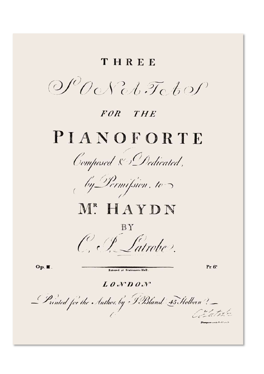### THREE

 $OPOoNoh.$  To bop

### FOR THE

# PIANOFORTE





## ME HAYDN

C.F. Satrober

 $O_{\mathbf{p}}$ .

Entered at Stationers Hall.

Pr. 6!

 $L \theta N D \theta N$ 

Printed for the Muthor, by J.Bland 45 Holbern ?- $\sqrt{\frac{L}{\hbar}}$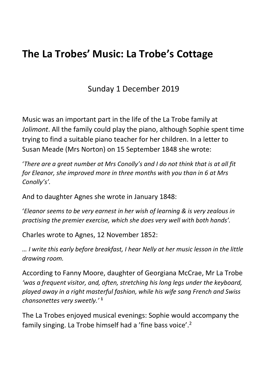## The La Trobes' Music: La Trobe's Cottage

Sunday 1 December 2019

Music was an important part in the life of the La Trobe family at Jolimont. All the family could play the piano, although Sophie spent time trying to find a suitable piano teacher for her children. In a letter to Susan Meade (Mrs Norton) on 15 September 1848 she wrote:

'There are a great number at Mrs Conolly's and I do not think that is at all fit for Eleanor, she improved more in three months with you than in 6 at Mrs Conolly's'.

And to daughter Agnes she wrote in January 1848:

'Eleanor seems to be very earnest in her wish of learning & is very zealous in practising the premier exercise, which she does very well with both hands'.

Charles wrote to Agnes, 12 November 1852:

… I write this early before breakfast, I hear Nelly at her music lesson in the little drawing room.

According to Fanny Moore, daughter of Georgiana McCrae, Mr La Trobe 'was a frequent visitor, and, often, stretching his long legs under the keyboard, played away in a right masterful fashion, while his wife sang French and Swiss chansonettes very sweetly.' <sup>1</sup>

The La Trobes enjoyed musical evenings: Sophie would accompany the family singing. La Trobe himself had a 'fine bass voice'.2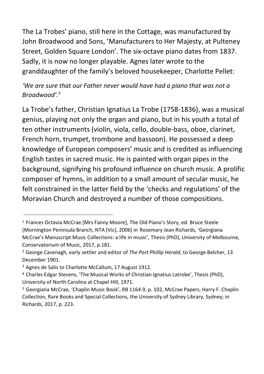The La Trobes' piano, still here in the Cottage, was manufactured by John Broadwood and Sons, 'Manufacturers to Her Majesty, at Pulteney Street, Golden Square London'. The six-octave piano dates from 1837. Sadly, it is now no longer playable. Agnes later wrote to the granddaughter of the family's beloved housekeeper, Charlotte Pellet:

'We are sure that our Father never would have had a piano that was not a Broadwood'.<sup>3</sup>

La Trobe's father, Christian Ignatius La Trobe (1758-1836), was a musical genius, playing not only the organ and piano, but in his youth a total of ten other instruments (violin, viola, cello, double-bass, oboe, clarinet, French horn, trumpet, trombone and bassoon). He possessed a deep knowledge of European composers' music and is credited as influencing English tastes in sacred music. He is painted with organ pipes in the background, signifying his profound influence on church music. A prolific composer of hymns, in addition to a small amount of secular music, he felt constrained in the latter field by the 'checks and regulations' of the Moravian Church and destroyed a number of those compositions.

<sup>1</sup> Frances Octavia McCrae [Mrs Fanny Moore], The Old Piano's Story, ed. Bruce Steele (Mornington Peninsula Branch, NTA (Vic), 2006) in Rosemary Jean Richards, 'Georgiana McCrae's Manuscript Music Collections: a life in music', Thesis (PhD), University of Melbourne, Conservatorium of Music, 2017, p.181.

<sup>&</sup>lt;sup>2</sup> George Cavenagh, early settler and editor of The Port Phillip Herald, to George Belcher, 13 December 1901.

<sup>&</sup>lt;sup>3</sup> Agnes de Salis to Charlotte McCallum, 17 August 1912.

<sup>4</sup>Charles Edgar Stevens, 'The Musical Works of Christian Ignatius Latrobe', Thesis (PhD), University of North Carolina at Chapel Hill, 1971.

<sup>5</sup> Georgiana McCrae, 'Chaplin Music Book', RB 1164.9, p. 102, McCrae Papers, Harry F. Chaplin Collection, Rare Books and Special Collections, the University of Sydney Library, Sydney; in Richards, 2017, p. 223.